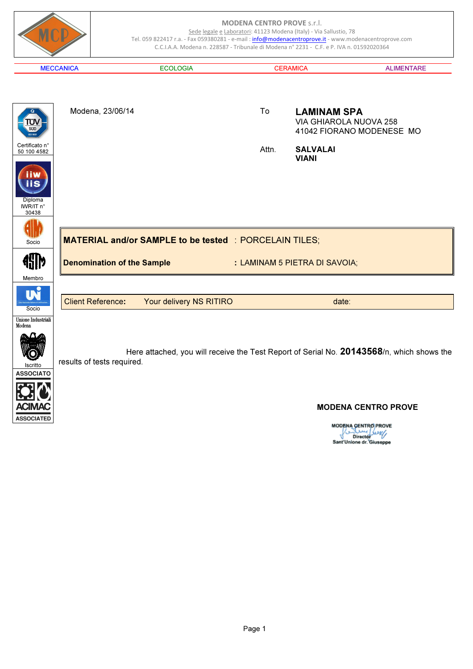

**MODENA CENTRO PROVE** Director<br>Sant'Unione dr. Giuseppe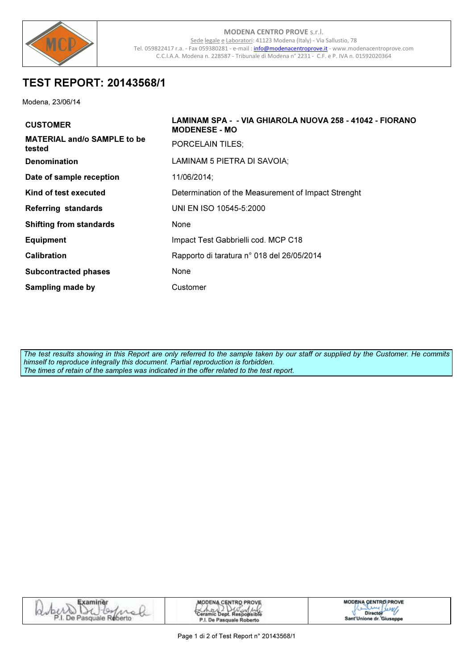

# **TEST REPORT: 20143568/1**

Modena, 23/06/14

| <b>CUSTOMER</b>                              | LAMINAM SPA - - VIA GHIAROLA NUOVA 258 - 41042 - FIORANO<br><b>MODENESE - MO</b> |
|----------------------------------------------|----------------------------------------------------------------------------------|
| <b>MATERIAL and/o SAMPLE to be</b><br>tested | <b>PORCELAIN TILES:</b>                                                          |
| <b>Denomination</b>                          | LAMINAM 5 PIETRA DI SAVOIA;                                                      |
| Date of sample reception                     | 11/06/2014;                                                                      |
| Kind of test executed                        | Determination of the Measurement of Impact Strenght                              |
| <b>Referring standards</b>                   | UNI EN ISO 10545-5:2000                                                          |
| <b>Shifting from standards</b>               | None                                                                             |
| <b>Equipment</b>                             | Impact Test Gabbrielli cod. MCP C18                                              |
| <b>Calibration</b>                           | Rapporto di taratura nº 018 del 26/05/2014                                       |
| <b>Subcontracted phases</b>                  | <b>None</b>                                                                      |
| <b>Sampling made by</b>                      | Customer                                                                         |

The test results showing in this Report are only referred to the sample taken by our staff or supplied by the Customer. He commits himself to reproduce integrally this document. Partial reproduction is forbidden. The times of retain of the samples was indicated in the offer related to the test report.

| $-10^{-7}$<br>ran<br>Ret<br>nsqua.<br>perto<br>" KILL<br>11.70 | <b>MODENA CENTRO PROVE</b><br>'Ceramic Dept. Responsible<br>P.I. De Pasquale Roberto | <b>MODENA CENTRO PROVE</b><br>والمستقران<br>Director<br>Sant'Unione dr. Giuseppe |
|----------------------------------------------------------------|--------------------------------------------------------------------------------------|----------------------------------------------------------------------------------|
|----------------------------------------------------------------|--------------------------------------------------------------------------------------|----------------------------------------------------------------------------------|